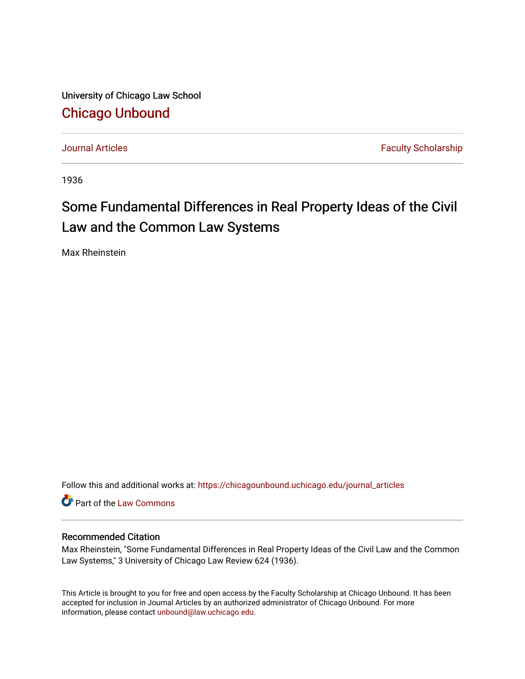University of Chicago Law School [Chicago Unbound](https://chicagounbound.uchicago.edu/)

[Journal Articles](https://chicagounbound.uchicago.edu/journal_articles) **Faculty Scholarship Journal Articles** 

1936

# Some Fundamental Differences in Real Property Ideas of the Civil Law and the Common Law Systems

Max Rheinstein

Follow this and additional works at: [https://chicagounbound.uchicago.edu/journal\\_articles](https://chicagounbound.uchicago.edu/journal_articles?utm_source=chicagounbound.uchicago.edu%2Fjournal_articles%2F9381&utm_medium=PDF&utm_campaign=PDFCoverPages) 

Part of the [Law Commons](http://network.bepress.com/hgg/discipline/578?utm_source=chicagounbound.uchicago.edu%2Fjournal_articles%2F9381&utm_medium=PDF&utm_campaign=PDFCoverPages)

# Recommended Citation

Max Rheinstein, "Some Fundamental Differences in Real Property Ideas of the Civil Law and the Common Law Systems," 3 University of Chicago Law Review 624 (1936).

This Article is brought to you for free and open access by the Faculty Scholarship at Chicago Unbound. It has been accepted for inclusion in Journal Articles by an authorized administrator of Chicago Unbound. For more information, please contact [unbound@law.uchicago.edu](mailto:unbound@law.uchicago.edu).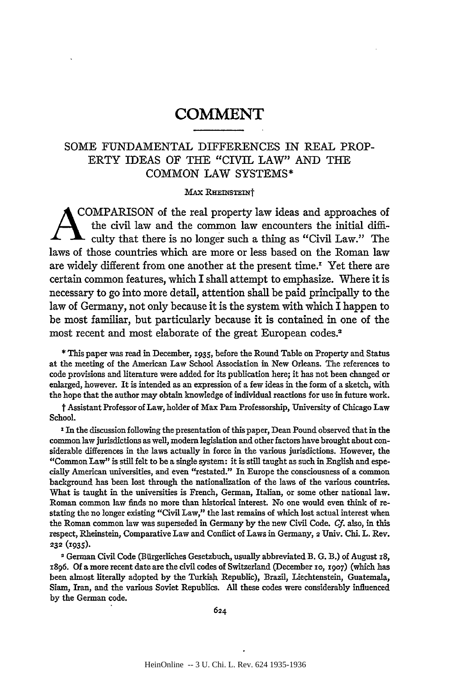## SOME FUNDAMENTAL DIFFERENCES IN REAL PROP-ERTY IDEAS OF THE "CIVIL LAW" AND THE COMMON LAW SYSTEMS\*

#### **MAX RHEINSTEINT**

COMPARISON of the real property law ideas and approaches of the civil law and the common law encounters the initial diffi- $\sim$  culty that there is no longer such a thing as "Civil Law." The laws of those countries which are more or less based on the Roman law are widely different from one another at the present time. $\cdot$  Yet there are certain common features, which I shall attempt to emphasize. Where it is necessary to go into more detail, attention shall be paid principally to the law of Germany, not only because it is the system with which I happen to be most familiar, but particularly because it is contained in one of the most recent and most elaborate of the great European codes.2

**\*** This paper was read in December, **1935,** before the Round Table on Property and Status at the meeting of the American Law School Association in New Orleans. The references to code provisions and literature were added for its publication here; it has not been changed or enlarged, however. It is intended as an expression of a few ideas in the form of a sketch, with the hope that the author may obtain knowledge of individual reactions for use in future work.

t Assistant Professor of Law, holder of Max Parn Professorship, University of Chicago Law School.

**<sup>I</sup>**In the discussion following the presentation of this paper, Dean Pound observed that in the common law jurisdictions as well, modem legislation and other factors have brought about considerable differences in the laws actually in force in the various jurisdictions. However, the "Common Law" is still felt to be a single system: it is still taught as such in English and especially American universities, and even "restated." In Europe the consciousness of a common background has been lost through the nationalization of the laws of the various countries. What is taught in the universities is French, German, Italian, or some other national law. Roman common law finds no more than historical interest. No one would even think of restating the no longer existing "Civil Law," the last remains of which lost actual interest when the Roman common law was superseded in Germany **by** the new Civil Code. Cf. also, in this respect, Rheinstein, Comparative Law and Conflict of Laws in Germany, 2 Univ. Chi. L. Rev. **232** (1935).

2German Civil Code (Biirgerliches Gesetzbuch, usually abbreviated B. **G.** B.) of August 18, 1896. **Of** a more recent date are the civil codes of Switzerland (December io, **1907)** (which has been almost literally adopted **by** the Turkish Republic), Brazil, Liechtenstein, Guatemala, Siam, Iran, and the various Soviet Republics. **All** these codes were considerably influenced **by** the German code.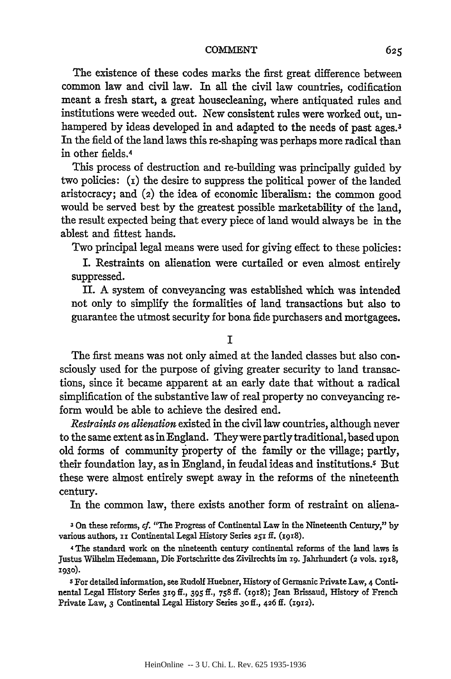The existence of these codes marks the first great difference between common law and civil law. In all the civil law countries, codification meant a fresh start, a great housecleaning, where antiquated rules and institutions were weeded out. New consistent rules were worked out, unhampered by ideas developed in and adapted to the needs of past ages.<sup>3</sup> In the field of the land laws this re-shaping was perhaps more radical than in other fields. <sup>4</sup>

This process of destruction and re-building was principally guided by two policies: (i) the desire to suppress the political power of the landed aristocracy; and (2) the idea of economic liberalism: the common good would be served best by the greatest possible marketability of the land, the result expected being that every piece of land would always be in the ablest and fittest hands.

Two principal legal means were used for giving effect to these policies:

I. Restraints on alienation were curtailed or even almost entirely suppressed.

II. A system of conveyancing was established which was intended not only to simplify the formalities of land transactions but also to guarantee the utmost security for bona fide purchasers and mortgagees.

**I**

The first means was not only aimed at the landed classes but also consciously used for the purpose of giving greater security to land transactions, since it became apparent at an early date that without a radical simplification of the substantive law of real property no conveyancing reform would be able to achieve the desired end.

*Restraints on alienation* existed in the civil law countries, although never to the same extent as in England. They were partly traditional, based upon old forms of community property of the family or the village; partly, their foundation lay, as in England, in feudal ideas and institutions.<sup>5</sup> But these were almost entirely swept away in the reforms of the nineteenth century.

In the common law, there exists another form of restraint on aliena-

'On these reforms, *cf.* "The Progress of Continental Law in the Nineteenth Century," by various authors, xi Continental Legal History Series 25I **ft.** (I918).

4 The standard work on the nineteenth century continental reforms of the land laws is Justus Wilhelm Hedemann, Die Fortschritte des Zivilrechts im ig. Jahrhundert (2 vols. 1918, **1930).**

s For detailed information, see Rudolf Huebner, History of Germanic Private Law, 4 Continental Legal History Series **3ig** ff., 395 if., **758 ff.** (I9g8); Jean Brissaud, History of French Private Law, 3 Continental Legal History Series **30ff.,** 426 **ff. (1912).**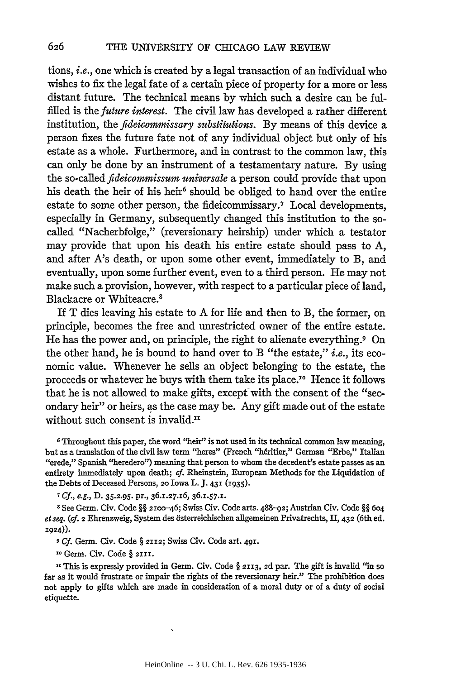tions, *i.e.,* one which is created by a legal transaction of an individual who wishes to fix the legal fate of a certain piece of property for a more or less distant future. The technical means by which such a desire can be fulfilled is the *future interest.* The civil law has developed a rather different institution, the *fideicommissary substitutions.* **By** means of this device a person fixes the future fate not of any individual object but only of his estate as a whole. Furthermore, and in contrast to the common law, this can only be done by an instrument of a testamentary nature. By using the so-called *fideicommissum universale* a person could provide that upon his death the heir of his heir<sup>6</sup> should be obliged to hand over the entire estate to some other person, the fideicommissary.<sup>7</sup> Local developments, especially in Germany, subsequently changed this institution to the socalled "Nacherbfolge," (reversionary heirship) under which a testator may provide that upon his death his entire estate should pass to A, and after A's death, or upon some other event, immediately to B, and eventually, upon some further event, even to a third person. He may not make such a provision, however, with respect to a particular piece of land, Blackacre or Whiteacre. <sup>8</sup>

If T dies leaving his estate to A for life and then to B, the former, on principle, becomes the free and unrestricted owner of the entire estate. He has the power and, on principle, the right to alienate everything.9 On the other hand, he is bound to hand over to B "the estate," *i.e.,* its economic value. Whenever he sells an object belonging to the estate, the proceeds or whatever he buys with them take its place."' Hence it follows that he is not allowed to make gifts, except with the consent of the "secondary heir" or heirs, as the case may be. Any gift made out of the estate without such consent is invalid.<sup>11</sup>

**6** Throughout this paper, the word "heir" is not used in its technical common law meaning, but as a translation of the civil law term "heres" (French "h6ritier," German "Erbe," Italian "erede," Spanish "heredero") meaning that person to whom the decedent's estate passes as an entirety immediately upon death; cf. Rheinstein, European Methods for the Liquidation of the Debts of Deceased Persons, **20** Iowa L. **J. 431** (i935).

**7** *Cf., e.g.,* **D. 35.2.95.** pr., **36.127.16, 36.1.57.1.**

**8** See Germ. Civ. Code **§§** 21oo-46; Swiss Civ. Code arts. **488-92;** Austrian Civ. Code §§ **604** el seq. **(Cf. 2** Ehrenzweig, System des bsterreichischen allgemeinen Privatrechts, **11, 432** (6th ed. **1924)).**

**9** *Cf.* Germ. Civ. Code § **2112;** Swiss Civ. Code art. **491.**

xo Germ. Civ. Code § **2111.**

**I,** This is expressly provided in Germ. Civ. Code § **2113,** *2d* par. The gift is invalid "in so far as it would frustrate or impair the rights of the reversionary heir." The prohibition does not apply to gifts which are made in consideration of a moral duty or of a duty of social etiquette.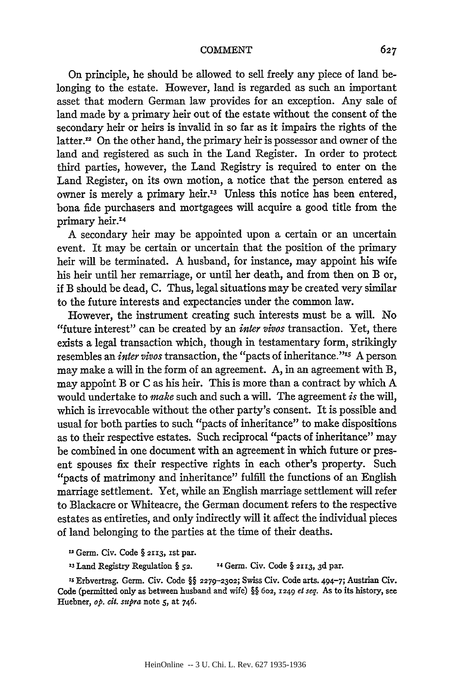On principle, he should be allowed to sell freely any piece of land belonging to the estate. However, land is regarded as such an important asset that modern German law provides for an exception. Any sale of land made by a primary heir out of the estate without the consent of the secondary heir or heirs is invalid in so far as it impairs the rights of the latter.<sup>12</sup> On the other hand, the primary heir is possessor and owner of the land and registered as such in the Land Register. In order to protect third parties, however, the Land Registry is required to enter on the Land Register, on its own motion, a notice that the person entered as owner is merely a primary heir.<sup>13</sup> Unless this notice has been entered, bona fide purchasers and mortgagees will acquire a good title from the primary heir.<sup>14</sup>

A secondary heir may be appointed upon a certain or an uncertain event. It may be certain or uncertain that the position of the primary heir will be terminated. A husband, for instance, may appoint his wife his heir until her remarriage, or until her death, and from then on B or, if B should be dead, C. Thus, legal situations may be created very similar to the future interests and expectancies under the common law.

However, the instrument creating such interests must be a will. No "future interest" can be created by an *inter vivos* transaction. Yet, there exists a legal transaction which, though in testamentary form, strikingly resembles an *inter vivos* transaction, the "pacts of inheritance."<sup>15</sup> A person may make a will in the form of an agreement. A, in an agreement with B, may appoint B or C as his heir. This is more than a contract by which A would undertake to *make* such and such a will. The agreement *is* the will, which is irrevocable without the other party's consent. It is possible and usual for both parties to such "pacts of inheritance" to make dispositions as to their respective estates. Such reciprocal "pacts of inheritance" may be combined in one document with an agreement in which future or present spouses fix their respective rights in each other's property. Such "pacts of matrimony and inheritance" fulfill the functions of an English marriage settlement. Yet, while an English marriage settlement will refer to Blackacre or Whiteacre, the German document refers to the respective estates as entireties, and only indirectly will it affect the individual pieces of land belonging to the parties at the time of their deaths.

-Germ. Civ. Code § **2X13, ist par.**

**<sup>23</sup>**Land Registry Regulation § **52.** 14 Germ. Civ. Code § **2113, 3d** par.

**IS** Erbvertrag. Germ. Civ. Code §§ **2279-2302;** Swiss Civ. Code arts. 494-7; Austrian Civ. Code (permitted only as between husband and wife) §§ **602,** 1249 *el seq.* As to its history, see Huebner, *op. cit. supra* note **5,** at 746.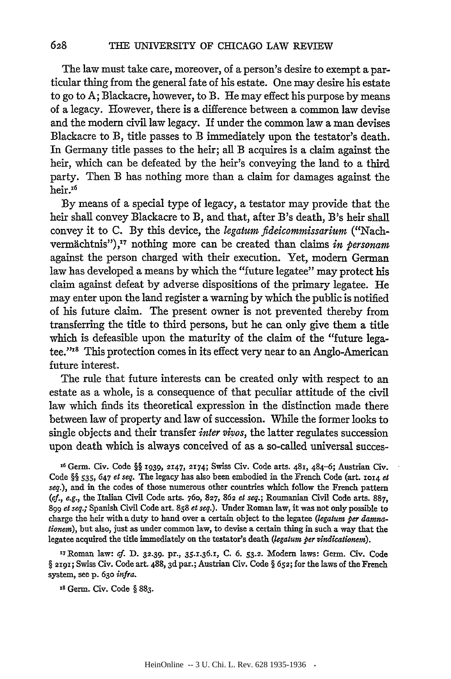The law must take care, moreover, of a person's desire to exempt a particular thing from the general fate of his estate. One may desire his estate to go to **A;** Blackacre, however, to B. He may effect his purpose **by** means of a legacy. However, there is a difference between a common law devise and the modern civil law legacy. If under the common law a man devises Blackacre to B, title passes to B immediately upon the testator's death. In Germany title passes to the heir; all B acquires is a claim against the heir, which can be defeated **by** the heir's conveying the land to a third party. Then B has nothing more than a claim for damages against the heir.<sup>16</sup>

**By** means of a special type of legacy, a testator may provide that the heir shall convey Blackacre to B, and that, after B's death, B's heir shall convey it to **C. By** this device, the *legatum fideicommissarium* ("Nachvermächtnis"),<sup>17</sup> nothing more can be created than claims *in personam* against the person charged with their execution. Yet, modem German law has developed a means by which the "future legatee" may protect his claim against defeat by adverse dispositions of the primary legatee. He may enter upon the land register a warning by which the public is notified of his future claim. The present owner is not prevented thereby from transferring the title to third persons, but he can only give them a title which is defeasible upon the maturity of the claim of the "future legatee."<sup>18</sup> This protection comes in its effect very near to an Anglo-American future interest.

The rule that future interests can be created only with respect to an estate as a whole, is a consequence of that peculiar attitude of the civil law which finds its theoretical expression in the distinction made there between law of property and law of succession. While the former looks to single objects and their transfer *inter vivos,* the latter regulates succession upon death which is always conceived of as a so-called universal succes-

**<sup>A</sup>**Germ. Civ. Code §§ **1939, 2147, 2174;** Swiss Civ. Code arts. 481, 484-6; Austrian Civ. Code §§ **535,** 647 *et seq.* The legacy has also been embodied in the French Code (art. **1014** *ef seq.),* and in the codes of those numerous other countries which follow the French pattern *(cf., e.g.,* the Italian Civil Code arts. 76o, 827, **862** *et seq.;* Roumanian Civil Code arts. 887, 899 *ef seq.;* Spanish Civil Code art. **858** *et seq.).* Under Roman law, it was not only possible to charge the heir with a duty to hand over a certain object to the legatee *(legaturn per damnationern),* but also, just as under common law, to devise a certain thing in such a way that the legatee acquired the title immediately on the testator's death *(legatum per vindicationem)*.

X7 Roman law: *af.* D. **32.39.** pr., 35.1.36.1, C. 6. **53.2.** Modem laws: Germ. Civ. Code § 2191; Swiss Civ. Code art. 488, 3d par.; Austrian Civ. Code § 652; for the laws of the French system, see p. 63o *infra.*

**is** Germ. Civ. Code § 883.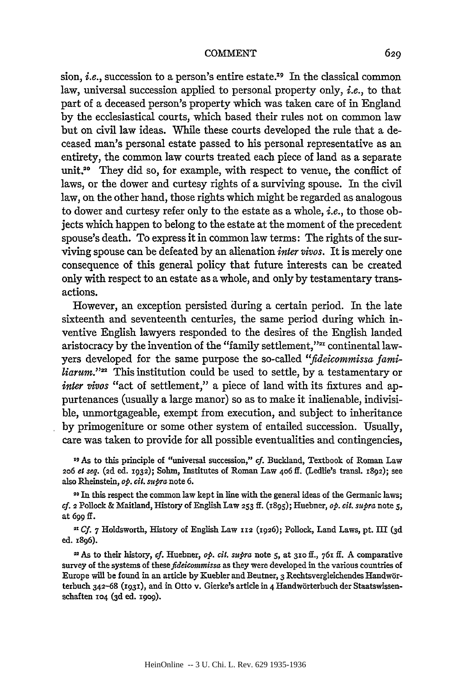sion, *i.e.*, succession to a person's entire estate.<sup>19</sup> In the classical common law, universal succession applied to personal property only, i.e., to that part of a deceased person's property which was taken care of in England by the ecclesiastical courts, which based their rules not on common law but on civil law ideas. While these courts developed the rule that a deceased man's personal estate passed to his personal representative as an entirety, the common law courts treated each piece of land as a separate unit.<sup>20</sup> They did so, for example, with respect to venue, the conflict of laws, or the dower and curtesy rights of a surviving spouse. In the civil law, on the other hand, those rights which might be regarded as analogous to dower and curtesy refer only to the estate as a whole, *i.e.,* to those objects which happen to belong to the estate at the moment of the precedent spouse's death. To express it in common law terms: The rights of the surviving spouse can be defeated by an alienation *inter vivos.* It is merely one consequence of this general policy that future interests can be created only with respect to an estate as a whole, and only by testamentary transactions.

However, an exception persisted during a certain period. In the late sixteenth and seventeenth centuries, the same period during which inventive English lawyers responded to the desires of the English landed aristocracy by the invention of the "family settlement,"<sup>27</sup> continental lawyers developed for the same purpose the so-called *"fideicommissa familiarum."''* This institution could be used to settle, by a testamentary or *inter vivos* "act of settlement," a piece of land with its fixtures and appurtenances (usually a large manor) so as to make it inalienable, indivisible, unmortgageable, exempt from execution, and subject to inheritance by primogeniture or some other system of entailed succession. Usually, care was taken to provide for all possible eventualities and contingencies,

**19** As to this principle of "universal succession," *cf.* Buckland, Textbook of Roman Law *206 et seq.* **(2d** ed. 1932); Sohm, Institutes of Roman Law 4o6 **ff.** (Ledlie's transl. 1892); see also Rheinstein, *op. cit. supra* note **6.**

20 In this respect the common law kept in line with the general ideas of the Germanic laws; *Cf.* 2 Pollock & Maitland, History of English Law **253 ff. (i895);** Huebner, *op. cit. supra* note **5,** at 699 **ff.**

<sup>21</sup> Cf. 7 Holdsworth, History of English Law 112 (1926); Pollock, Land Laws, pt. III (3d ed. **x896).**

**-As** to their history, *cf.* Huebner, *op. cit. supra* note **5,** at **310** ff., **761 ff.** A comparative survey of the systems of *thesefteiommissa* as they were developed in the various countries of Europe will be found in an article **by** Kuebler and Beutner, 3 Rechtsvergleichendes Handw6rterbuch 342-68 (1931), and in Otto v. Gierke's article in 4 Handwörterbuch der Staatswissenschaften 104 (3d ed. 1909).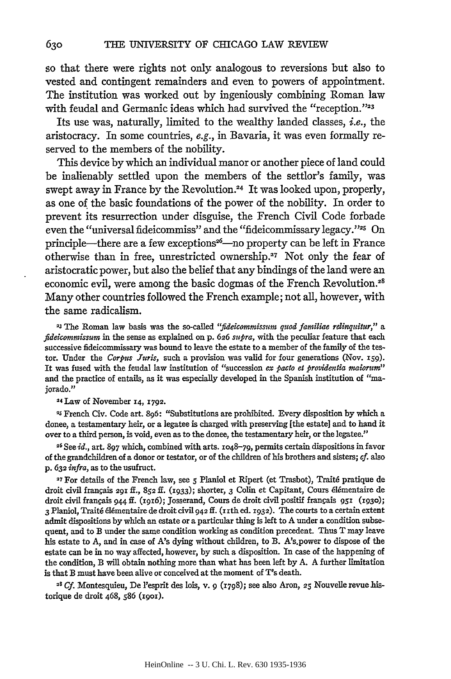so that there were rights not only analogous to reversions but also to vested and contingent remainders and even to powers of appointment. The institution was worked out by ingeniously combining Roman law with feudal and Germanic ideas which had survived the "reception."<sup>22</sup>

Its use was, naturally, limited to the wealthy landed classes, *i.e.*, the aristocracy. In some countries, e.g., in Bavaria, it was even formally reserved to the members of the nobility.

This device by which an individual manor or another piece of land could be inalienably settled upon the members of the settlor's family, was swept away in France by the Revolution.<sup>24</sup> It was looked upon, properly, as one of the basic foundations of the power of the nobility. In order to prevent its resurrection under disguise, the French Civil Code forbade even the "universal fideicommiss" and the "fideicommissary legacy."<sup>25</sup> On principle—there are a few exceptions<sup>26</sup>—no property can be left in France otherwise than in free, unrestricted ownership.27 Not only the fear of aristocratic power, but also the belief that any bindings of the land were an economic evil, were among the basic dogmas of the French Revolution.<sup>28</sup> Many other countries followed the French example; not all, however, with the same radicalism.

**23** The Roman **law** basis was **the** so-called *"fidecommissum quod familiae relinquitur," a fideicommissum* in the sense as explained on **p. 626** *supra,* with the peculiar feature that each successive fideicommissary was bound to leave the estate to a member of the family of the testor. Under the *Corpus Juris,* such a provision was valid for four generations (Nov. **i59).** It was fused with the feudal law institution of "succession ex *pacto a providentia taiorum"* and the practice of entails, as it was especially developed in the Spanish institution of "majorado."

**24 Law** of November **14,** 1792.

2s **French** Civ. Code art. 896: "Substitutions are prohibited. Every disposition by which a donee, a testamentary heir, or a legatee is charged with preserving [the estate] and to hand it over to a third person, is void, even as to the donee, the testamentary heir, or the legatee."

**26** See *id.,* art. 897 which, combined with arts. **1048-79,** permits certain dispositions in favor of the grandchildren of a donor or testator, or of the children of his brothers and sisters; *cf.* also **p. 632** *infra,* as to the usufruct.

**27** For details of the French law, see **5** Planiol et Ripert (et Trasbot), Trait6 pratique de droit civil frangais **291** ff., **852 ff.** (i933); shorter, **3** Colin et Capitant, Cours 6l6mentaire de droit civil frangais 944 **if.** (1916); Josserand, Cours de droit civil positif frangais 951 **(1930); <sup>3</sup>**Planiol, Trait6 616mentaire de droit civil 942 **ff.** (iith ed. 1932). The courts to a certain extent admit dispositions by which an estate or a particular thing is left to A under a condition subsequent, and to **B** under the same condition working as condition precedent. Thus T may leave his estate to A, and in case of A's dying without children, to B. A's.power to dispose of the estate can be in no way affected, however, by such a disposition. In case of the happening of the condition, B will obtain nothing more than what has been left by A. A further limitation is that B must have been alive or conceived at the moment of *T's* death.

28 *Cf.* Montesquieu, De l'esprit des lois, v. 9 (1798); see also Aron, **25** Nouvelle revue historique de droit 468, **586** (i9oI).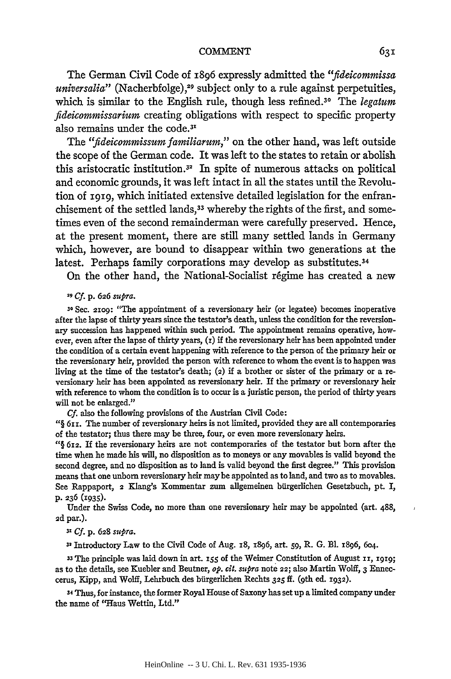The German Civil Code of 1896 expressly admitted the *"fideicommissa universalia*" (Nacherbfolge),<sup>29</sup> subject only to a rule against perpetuities, which is similar to the English rule, though less refined.<sup>30</sup> The *legatum fideicommissarium* creating obligations with respect to specific property also remains under the code.<sup>31</sup>

The *"fideicommissumfamiliarum,"* on the other hand, was left outside the scope of the German code. It was left to the states to retain or abolish this aristocratic institution.<sup>32</sup> In spite of numerous attacks on political and economic grounds, it was left intact in all the states until the Revolution of **1919,** which initiated extensive detailed legislation for the enfranchisement of the settled lands,<sup>33</sup> whereby the rights of the first, and sometimes even of the second remainderman were carefully preserved. Hence, at the present moment, there are still many settled lands in Germany which, however, are bound to disappear within two generations at the latest. Perhaps family corporations may develop as substitutes. <sup>34</sup>

On the other hand, the National-Socialist regime has created a new

*<sup>29</sup>***Cf. p. 626** *sumra.*

**<sup>30</sup>**Sec. *2109:* "The appointment of a reversionary heir (or legatee) becomes inoperative after the lapse of thirty years since the testator's death, unless the condition for the reversionary succession has happened within such period. The appointment remains operative, however, even after the lapse of thirty years, **(z)** if the reversionary heir has been appointed under the condition of a certain event happening with reference to the person of the primary heir or the reversionary heir, provided the person with reference to whom the event is to happen was living at the time of the testator's death; **(2)** if a brother or sister of the primary or a reversionary heir has been appointed as reversionary heir. If the primary or reversionary heir with reference to whom the condition is to occur is a juristic person, the period of thirty years will not be enlarged."

**Cf.** also the following provisions of the Austrian Civil Code:

*"§* 611. The number of reversionary heirs is not limited, provided they are all contemporaries of the testator; thus there may be three, four, or even more reversionary heirs.

**"§ 612.** If the reversionary heirs are not contemporaries of the testator but born after the time when he made his will, no disposition as to moneys or any movables is valid beyond the second degree, and no disposition as to land is valid beyond the first degree." This provision means that one unborn reversionary heir may be appointed as to land, and two as to movables. See Rappaport, **2** Kang's Kommentar zum allgemeinen birgerlichen Gesetzbuch, pt. I, **p. 236 (1935).**

Under the Swiss Code, no more than one reversionary heir may be appointed (art. 488, **2d** par.).

**31** *Cf.* **p. 628** *supra.*

**<sup>32</sup>**Introductory Law to the Civil Code of Aug. 18, 1896, art. **59,** R. **G. El.** 1896, 604.

**<sup>33</sup>**The principle was laid down in art. **155** of the Weimer Constitution of August **ii, 1919;** as to the details, see Kuebler and Beutner, *op. cit. supra* note **22;** also Martin Wolff, 3 Enneccerus, Kipp, and Wolff, Lehrbuch des bürgerlichen Rechts 325 ff. (9th ed. 1932).

34 Thus, for instance, the former Royal House of Saxony has set up a limited company under the name of "Haus Wettin, Ltd."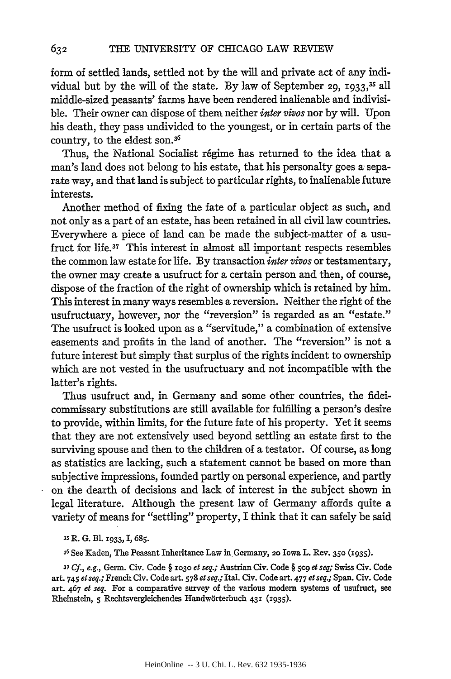form of settled lands, settled not by the will and private act of any individual but by the will of the state. By law of September 29, 1933,<sup>35</sup> all middle-sized peasants' farms have been rendered inalienable and indivisible. Their owner can dispose of them neither *inter vivos* nor by will. Upon his death, they pass undivided to the youngest, or in certain parts of the country, to the eldest son. <sup>36</sup>

Thus, the National Socialist regime has returned to the idea that a man's land does not belong to his estate, that his personalty goes a separate way, and that land is subject to particular rights, to inalienable future interests.

Another method of fixing the fate of a particular object as such, and not only as a part of an estate, has been retained in all civil law countries. Everywhere a piece of land can be made the subject-matter of a usufruct for life.37 This interest in almost all important respects resembles the common law estate for life. By transaction *inter vivos* or testamentary, the owner may create a usufruct for a certain person and then, of course, dispose of the fraction of the right of ownership which is retained by him. This interest in many ways resembles a reversion. Neither the right of the usufructuary, however, nor the "reversion" is regarded as an "estate." The usufruct is looked upon as a "servitude," a combination of extensive easements and profits in the land of another. The "reversion" is not a future interest but simply that surplus of the rights incident to ownership which are not vested in the usufructuary and not incompatible with the latter's rights.

Thus usufruct and, in Germany and some other countries, the fideicommissary substitutions are still available for fulfilling a person's desire to provide, within limits, for the future fate of his property. Yet it seems that they are not extensively used beyond settling an estate first to the surviving spouse and then to the children of a testator. Of course, as long as statistics are lacking, such a statement cannot be based on more than subjective impressions, founded partly on personal experience, and partly on the dearth of decisions and lack of interest in the subject shown in legal literature. Although the present law of Germany affords quite a variety of means for "settling" property, I think that it can safely be said

*'s* R. **G.** B1. *1933,* I, **685.**

**<sup>36</sup>**See Kaden, The Peasant Inheritance Law in Germany, **20** Iowa L. Rev. **350 (1935).**

*<sup>37</sup>***Cf.,** e.g., **Germ. Civ. Code §** io3o *et* seq.; Austrian Civ. Code **§ 5og** et seq; Swiss Civ. Code art. 745 et seq.; French Civ. Code art. **578** et seq.; Ital. Civ. Code art. **477** et seq.; **Span. Civ. Code** art. 467 et seq. For a comparative survey of the various modem systems of usufruct, see Rheinstein, 5 Rechtsvergleichendes Handwörterbuch 431 (1935).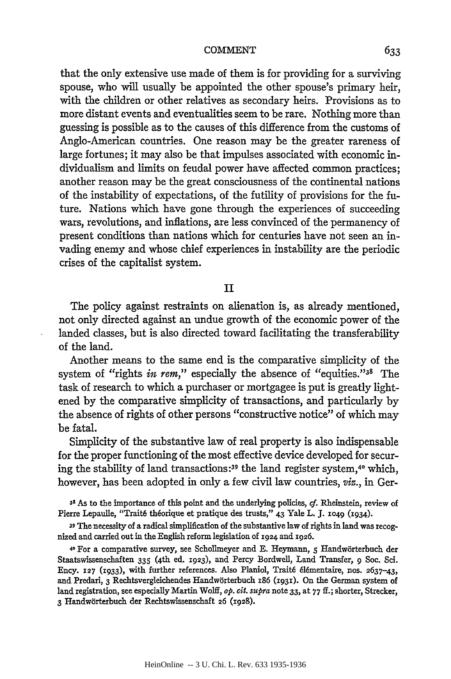that the only extensive use made of them is for providing for a surviving spouse, who will usually be appointed the other spouse's primary heir, with the children or other relatives as secondary heirs. Provisions as to more distant events and eventualities seem to be rare. Nothing more than guessing is possible as to the causes of this difference from the customs of Anglo-American countries. One reason may be the greater rareness of large fortunes; it may also be that impulses associated with economic individualism and limits on feudal power have affected common practices; another reason may be the great consciousness of the continental nations of the instability of expectations, of the futility of provisions for the future. Nations which have gone through the experiences of succeeding wars, revolutions, and inflations, are less convinced of the permanency of present conditions than nations which for centuries have not seen an invading enemy and whose chief experiences in instability are the periodic crises of the capitalist system.

### II

The policy against restraints on alienation is, as already mentioned, not only directed against an undue growth of the economic power of the landed classes, but is also directed toward facilitating the transferability of the land.

Another means to the same end is the comparative simplicity of the system of "rights *in rem*," especially the absence of "equities."<sup>38</sup> The task of research to which a purchaser or mortgagee is put is greatly lightened by the comparative simplicity of transactions, and particularly by the absence of rights of other persons "constructive notice" of which may be fatal.

Simplicity of the substantive law of real property is also indispensable for the proper functioning of the most effective device developed for securing the stability of land transactions **:39** the land register system, 40 which, however, has been adopted in only a few civil law countries, *viz.,* in Ger-

**<sup>38</sup>**As to the importance of this point and the underlying policies, *cf.* Rheinstein, review of Pierre Lepaulle, "Trait6 th6orique et pratique des trusts," 43 Yale L. **J. 1049 (1934).**

**39** The necessity of a radical simplification of the substantive law of rights in land was recognized and carried out in the English reform legislation of **1924** and **1926.**

4o For a comparative survey, see Schollmeyer and **E.** Heymann, **5** Handw6rterbuch der Staatswissenschaften 335 (4th ed. 1923), and Percy Bordwell, Land Transfer, **9** Soc. Sci. Ency. 127 **(1933),** with further references. Also Planiol, Trait6 616mentaire, nos. **2637-43,** and Predari, **3** Rechtsvergleichendes Handw6rterbuch 186 (1931). On the German system of land registration, see especially Martin Wolff, *op. cit. supra* note **33,** at **77 ff.;** shorter, Strecker, 3 Handwörterbuch der Rechtswissenschaft 26 (1928).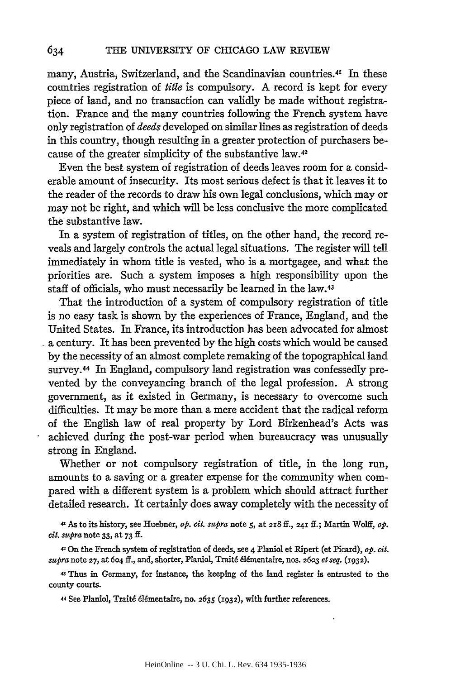many, Austria, Switzerland, and the Scandinavian countries.<sup>41</sup> In these countries registration of *title* is compulsory. A record is kept for every piece of land, and no transaction can validly be made without registration. France and the many countries following the French system have only registration of *deeds* developed on similar lines as registration of deeds in this country, though resulting in a greater protection of purchasers because of the greater simplicity of the substantive law.42

Even the best system of registration of deeds leaves room for a considerable amount of insecurity. Its most serious defect is that it leaves it to the reader of the records to draw his own legal conclusions, which may or may not be right, and which will be less conclusive the more complicated the substantive law.

In a system of registration of titles, on the other hand, the record reveals and largely controls the actual legal situations. The register will tell immediately in whom title is vested, who is a mortgagee, and what the priorities are. Such a system imposes a high responsibility upon the staff of officials, who must necessarily be learned in the law.<sup>43</sup>

That the introduction of a system of compulsory registration of title is no easy task is shown by the experiences of France, England, and the United States. In France, its introduction has been advocated for almost a century. It has been prevented by the high costs which would be caused by the necessity of an almost complete remaking of the topographical land survey. 44 In England, compulsory land registration was confessedly prevented by the conveyancing branch of the legal profession. A strong government, as it existed in Germany, is necessary to overcome such difficulties. It may be more than a mere accident that the radical reform of the English law of real property by Lord Birkenhead's Acts was achieved during the post-war period when bureaucracy was unusually strong in England.

Whether or not compulsory registration of title, in the long run, amounts to a saving or a greater expense for the community when compared with a different system is a problem which should attract further detailed research. It certainly does away completely with the necessity of

**4'** As to its history, see Huebner, *op. cit. supra* note *5,* at **218** ft., **241** ff.; Martin Wolff, *op. cit. supra* note **33,** at 73 **if.**

**<sup>42</sup>**On the French system of registration of deeds, see 4 Planiol et Rip ert (et Picard), *op. cit. supra* note **27,** at 604 **ff.,** and, shorter, Planiol, Trait6 6I6mentaire, nos. 26o3 *et seq.* (r932).

**<sup>43</sup>**Thus in Germany, for instance, the keeping of the land register is entrusted to the county courts.

44 See Planiol, Traité élémentaire, no. 2635 (1932), with further references.

634